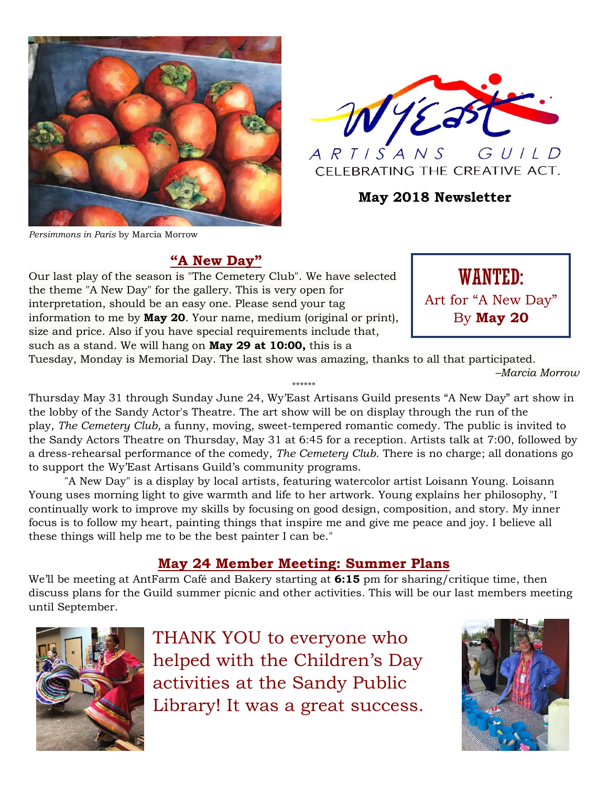



**May 2018 Newsletter**

# **"A New Day"**

Our last play of the season is "The Cemetery Club". We have selected the theme "A New Day" for the gallery. This is very open for interpretation, should be an easy one. Please send your tag information to me by **May 20**. Your name, medium (original or print), size and price. Also if you have special requirements include that, such as a stand. We will hang on **May 29 at 10:00,** this is a



Tuesday, Monday is Memorial Day. The last show was amazing, thanks to all that participated. *–Marcia Morrow* \*\*\*\*\*\*

Thursday May 31 through Sunday June 24, Wy'East Artisans Guild presents "A New Day" art show in the lobby of the Sandy Actor's Theatre. The art show will be on display through the run of the play, *The Cemetery Club,* a funny, moving, sweet-tempered romantic comedy. The public is invited to the Sandy Actors Theatre on Thursday, May 31 at 6:45 for a reception. Artists talk at 7:00, followed by a dress-rehearsal performance of the comedy, *The Cemetery Club*. There is no charge; all donations go to support the Wy'East Artisans Guild's community programs.

"A New Day" is a display by local artists, featuring watercolor artist Loisann Young. Loisann Young uses morning light to give warmth and life to her artwork. Young explains her philosophy, "I continually work to improve my skills by focusing on good design, composition, and story. My inner focus is to follow my heart, painting things that inspire me and give me peace and joy. I believe all these things will help me to be the best painter I can be."

# **May 24 Member Meeting: Summer Plans**

We'll be meeting at AntFarm Café and Bakery starting at **6:15** pm for sharing/critique time, then discuss plans for the Guild summer picnic and other activities. This will be our last members meeting until September.



THANK YOU to everyone who helped with the Children's Day activities at the Sandy Public Library! It was a great success.

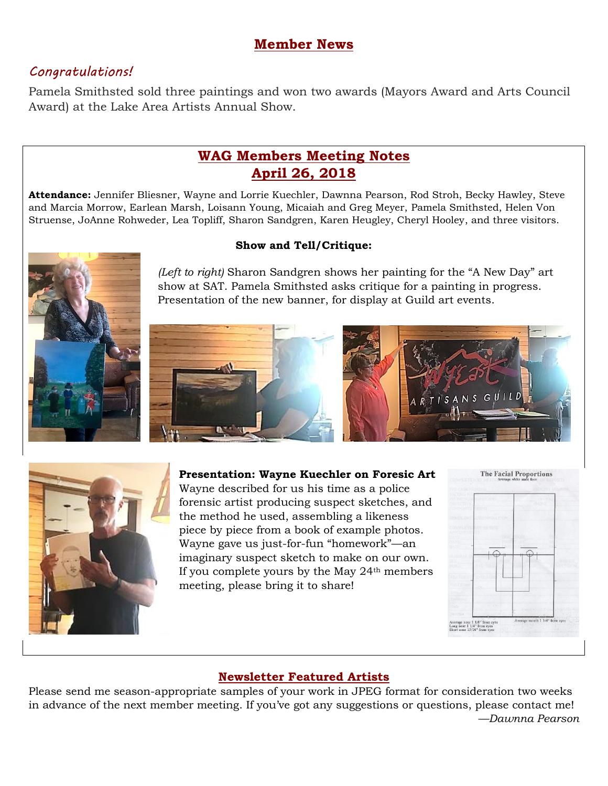## **Member News**

## *Congratulations!*

Pamela Smithsted sold three paintings and won two awards (Mayors Award and Arts Council Award) at the Lake Area Artists Annual Show.

# **WAG Members Meeting Notes April 26, 2018**

**Attendance:** Jennifer Bliesner, Wayne and Lorrie Kuechler, Dawnna Pearson, Rod Stroh, Becky Hawley, Steve and Marcia Morrow, Earlean Marsh, Loisann Young, Micaiah and Greg Meyer, Pamela Smithsted, Helen Von Struense, JoAnne Rohweder, Lea Topliff, Sharon Sandgren, Karen Heugley, Cheryl Hooley, and three visitors.



*(Left to right)* Sharon Sandgren shows her painting for the "A New Day" art show at SAT. Pamela Smithsted asks critique for a painting in progress. Presentation of the new banner, for display at Guild art events.



**Presentation: Wayne Kuechler on Foresic Art** Wayne described for us his time as a police forensic artist producing suspect sketches, and the method he used, assembling a likeness piece by piece from a book of example photos. Wayne gave us just-for-fun "homework"—an imaginary suspect sketch to make on our own. If you complete yours by the May 24th members meeting, please bring it to share!



### **Newsletter Featured Artists**

Please send me season-appropriate samples of your work in JPEG format for consideration two weeks in advance of the next member meeting. If you've got any suggestions or questions, please contact me! *—Dawnna Pearson*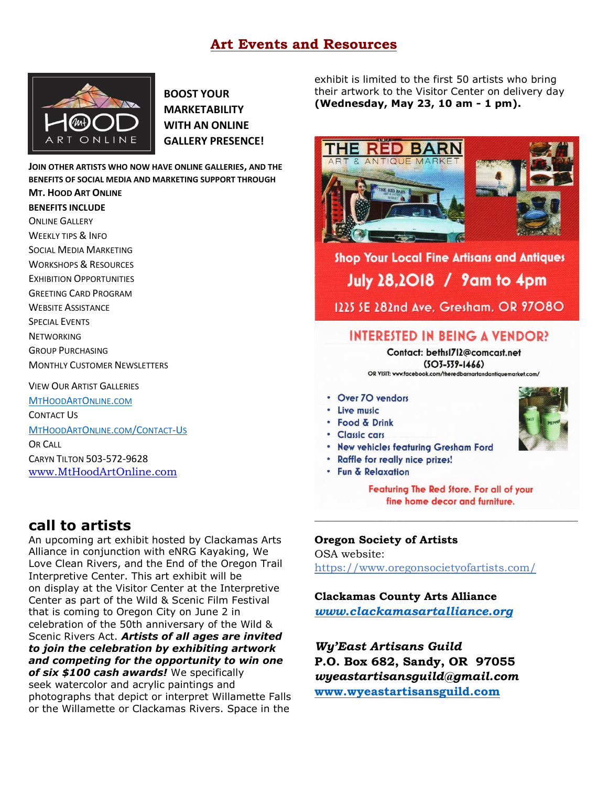## **Art Events and Resources**



**BOOST YOUR MARKETABILITY WITH AN ONLINE GALLERY PRESENCE!**

**JOIN OTHER ARTISTS WHO NOW HAVE ONLINE GALLERIES, AND THE BENEFITS OF SOCIAL MEDIA AND MARKETING SUPPORT THROUGH MT. HOOD ART ONLINE**

#### **BENEFITS INCLUDE**

ONLINE GALLERY WEEKLY TIPS & INFO

- SOCIAL MEDIA MARKETING
- WORKSHOPS & RESOURCES
- EXHIBITION OPPORTUNITIES
- GREETING CARD PROGRAM
- WEBSITE ASSISTANCE
- SPECIAL EVENTS
- **NETWORKING**
- GROUP PURCHASING
- MONTHLY CUSTOMER NEWSLETTERS

VIEW OUR ARTIST GALLERIES

[M](http://www.mthoodartonline.com/)[T](http://www.mthoodartonline.com/)[H](http://www.mthoodartonline.com/)[OOD](http://www.mthoodartonline.com/)[A](http://www.mthoodartonline.com/)[RT](http://www.mthoodartonline.com/)[O](http://www.mthoodartonline.com/)[NLINE](http://www.mthoodartonline.com/)[.](http://www.mthoodartonline.com/)[COM](http://www.mthoodartonline.com/)

CONTACT US

#### [M](http://www.mthoodartonline/Contact-Us)[T](http://www.mthoodartonline/Contact-Us)[H](http://www.mthoodartonline/Contact-Us)[OOD](http://www.mthoodartonline/Contact-Us)[A](http://www.mthoodartonline/Contact-Us)[RT](http://www.mthoodartonline/Contact-Us)[O](http://www.mthoodartonline/Contact-Us)[NLINE](http://www.mthoodartonline/Contact-Us)[.](http://www.mthoodartonline/Contact-Us)[COM](http://www.mthoodartonline/Contact-Us)[/C](http://www.mthoodartonline/Contact-Us)[ONTACT](http://www.mthoodartonline/Contact-Us)[-U](http://www.mthoodartonline/Contact-Us)[S](http://www.mthoodartonline/Contact-Us)

OR CALL CARYN TILTON 503-572-9628 [www.MtHoodArtOnline.com](http://www.mthoodartonline.com/)

# **call to artists**

An upcoming art exhibit hosted by Clackamas Arts Alliance in conjunction with eNRG Kayaking, We Love Clean Rivers, and the End of the Oregon Trail Interpretive Center. This art exhibit will be on display at the Visitor Center at the Interpretive Center as part of the Wild & Scenic Film Festival that is coming to Oregon City on June 2 in celebration of the 50th anniversary of the Wild & Scenic Rivers Act. *Artists of all ages are invited to join the celebration by exhibiting artwork and competing for the opportunity to win one of six \$100 cash awards!* We specifically seek watercolor and acrylic paintings and photographs that depict or interpret Willamette Falls or the Willamette or Clackamas Rivers. Space in the

exhibit is limited to the first 50 artists who bring their artwork to the Visitor Center on delivery day **(Wednesday, May 23, 10 am - 1 pm).**



Shop Your Local Fine Artisans and Antiques **July 28,2018 / 9am to 4pm** 1225 SE 282nd Ave. Gresham. OR 97080

## INTERESTED IN BEING A VENDOR?

Contact: beths1712@comcast.net  $(5O3 - 539 - 1466)$ OR VISIT: www.facebook.com/theredbarnartandantiquemarket.com/

- Over 70 vendors
- · Live music
- · Food & Drink
- · Classic cars
- . New vehicles featuring Gresham Ford
- Raffle for really nice prizes!
- Fun & Relaxation

Featuring The Red Store. For all of your fine home decor and furniture.

*\_\_\_\_\_\_\_\_\_\_\_\_\_\_\_\_\_\_\_\_\_\_\_\_\_\_\_\_\_\_\_\_\_\_\_\_\_\_\_\_\_\_\_\_\_\_\_\_\_\_\_\_\_\_\_\_\_\_\_*

#### **Oregon Society of Artists**

OSA website: <https://www.oregonsocietyofartists.com/>

**Clackamas County Arts Alliance** *[www.clackamasartalliance.org](http://www.clackamasartalliance.org/)*

*Wy'East Artisans Guild* **P.O. Box 682, Sandy, OR 97055** *wyeastartisansguild@gmail.com* **[www.wyeastartisansguild.com](http://www.wyeastartisansguild.com/)**